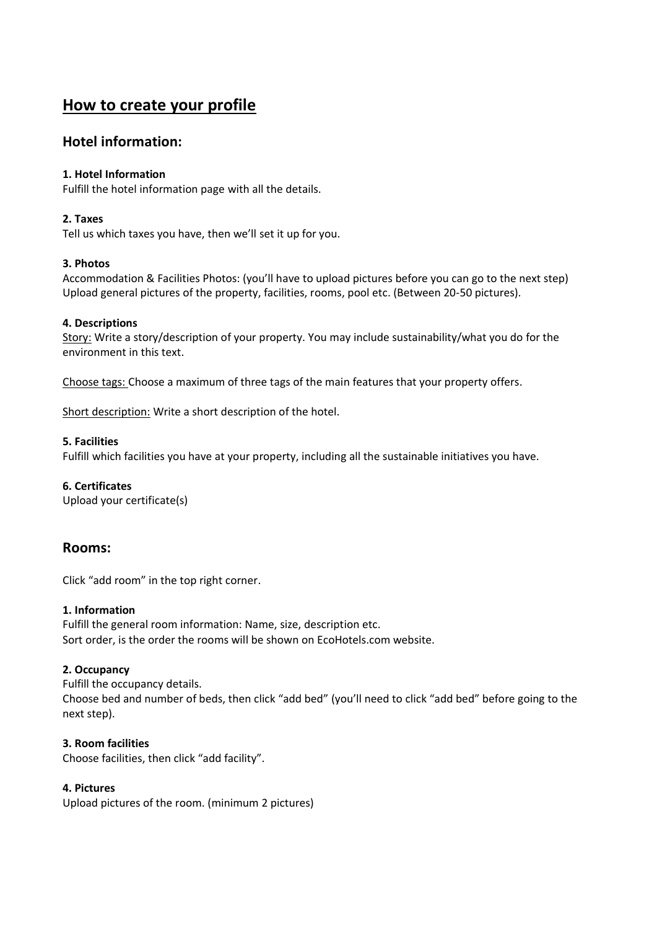# **How to create your profile**

# **Hotel information:**

# **1. Hotel Information**

Fulfill the hotel information page with all the details.

# **2. Taxes**

Tell us which taxes you have, then we'll set it up for you.

# **3. Photos**

Accommodation & Facilities Photos: (you'll have to upload pictures before you can go to the next step) Upload general pictures of the property, facilities, rooms, pool etc. (Between 20-50 pictures).

# **4. Descriptions**

Story: Write a story/description of your property. You may include sustainability/what you do for the environment in this text.

Choose tags: Choose a maximum of three tags of the main features that your property offers.

Short description: Write a short description of the hotel.

# **5. Facilities**

Fulfill which facilities you have at your property, including all the sustainable initiatives you have.

#### **6. Certificates**

Upload your certificate(s)

# **Rooms:**

Click "add room" in the top right corner.

#### **1. Information**

Fulfill the general room information: Name, size, description etc. Sort order, is the order the rooms will be shown on EcoHotels.com website.

#### **2. Occupancy**

Fulfill the occupancy details. Choose bed and number of beds, then click "add bed" (you'll need to click "add bed" before going to the next step).

# **3. Room facilities**

Choose facilities, then click "add facility".

# **4. Pictures**

Upload pictures of the room. (minimum 2 pictures)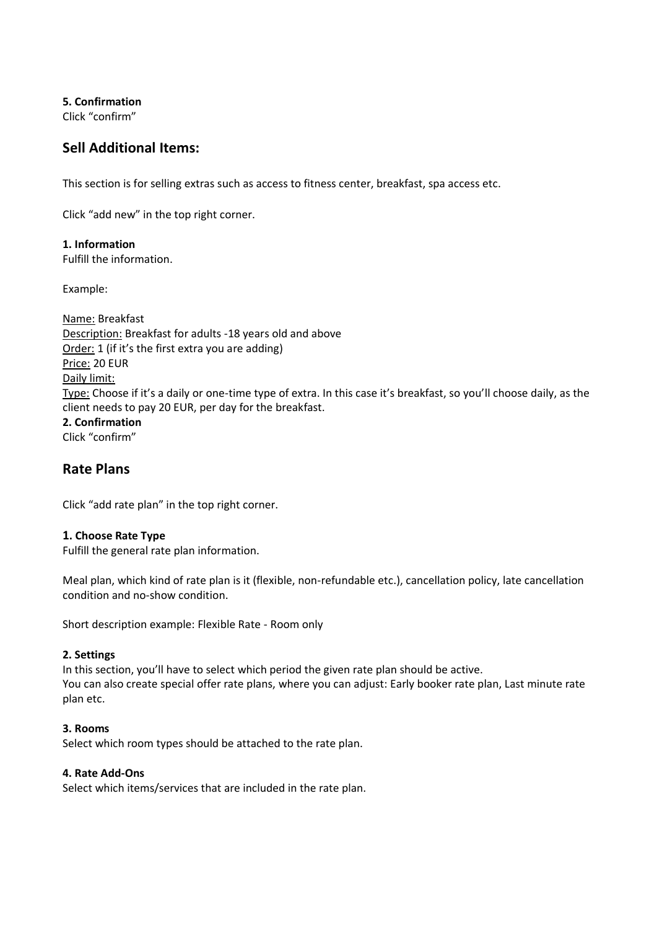**5. Confirmation** 

Click "confirm"

# **Sell Additional Items:**

This section is for selling extras such as access to fitness center, breakfast, spa access etc.

Click "add new" in the top right corner.

# **1. Information**

Fulfill the information.

Example:

Name: Breakfast Description: Breakfast for adults -18 years old and above Order: 1 (if it's the first extra you are adding) Price: 20 EUR Daily limit: Type: Choose if it's a daily or one-time type of extra. In this case it's breakfast, so you'll choose daily, as the client needs to pay 20 EUR, per day for the breakfast. **2. Confirmation**  Click "confirm"

# **Rate Plans**

Click "add rate plan" in the top right corner.

#### **1. Choose Rate Type**

Fulfill the general rate plan information.

Meal plan, which kind of rate plan is it (flexible, non-refundable etc.), cancellation policy, late cancellation condition and no-show condition.

Short description example: Flexible Rate - Room only

#### **2. Settings**

In this section, you'll have to select which period the given rate plan should be active. You can also create special offer rate plans, where you can adjust: Early booker rate plan, Last minute rate plan etc.

#### **3. Rooms**

Select which room types should be attached to the rate plan.

#### **4. Rate Add-Ons**

Select which items/services that are included in the rate plan.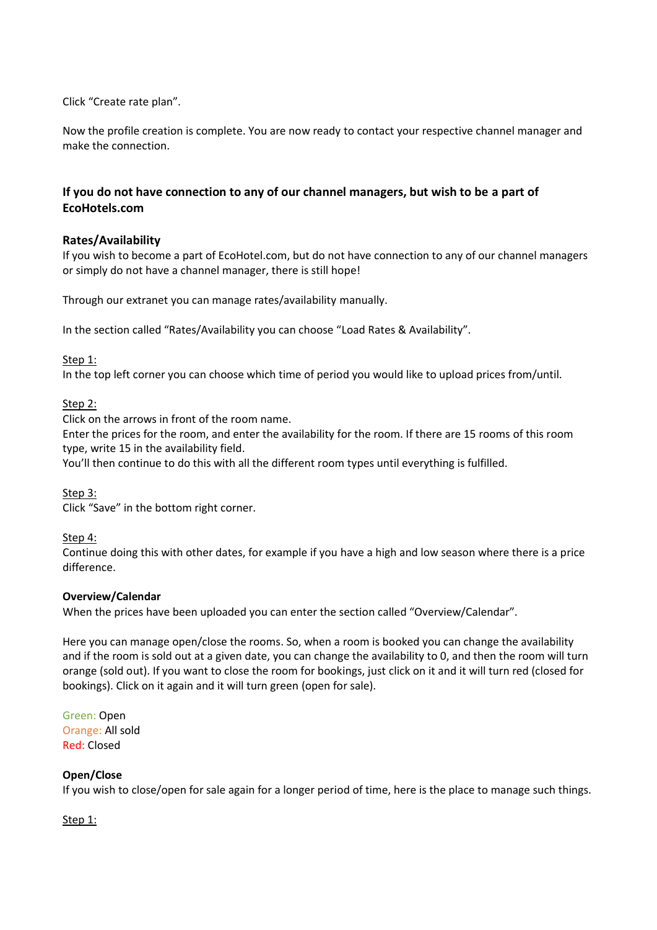Click "Create rate plan".

Now the profile creation is complete. You are now ready to contact your respective channel manager and make the connection.

# **If you do not have connection to any of our channel managers, but wish to be a part of EcoHotels.com**

# **Rates/Availability**

If you wish to become a part of EcoHotel.com, but do not have connection to any of our channel managers or simply do not have a channel manager, there is still hope!

Through our extranet you can manage rates/availability manually.

In the section called "Rates/Availability you can choose "Load Rates & Availability".

#### Step 1:

In the top left corner you can choose which time of period you would like to upload prices from/until.

#### Step 2:

Click on the arrows in front of the room name.

Enter the prices for the room, and enter the availability for the room. If there are 15 rooms of this room type, write 15 in the availability field.

You'll then continue to do this with all the different room types until everything is fulfilled.

Step 3:

Click "Save" in the bottom right corner.

Step 4:

Continue doing this with other dates, for example if you have a high and low season where there is a price difference.

#### **Overview/Calendar**

When the prices have been uploaded you can enter the section called "Overview/Calendar".

Here you can manage open/close the rooms. So, when a room is booked you can change the availability and if the room is sold out at a given date, you can change the availability to 0, and then the room will turn orange (sold out). If you want to close the room for bookings, just click on it and it will turn red (closed for bookings). Click on it again and it will turn green (open for sale).

Green: Open Orange: All sold Red: Closed

#### **Open/Close**

If you wish to close/open for sale again for a longer period of time, here is the place to manage such things.

Step 1: